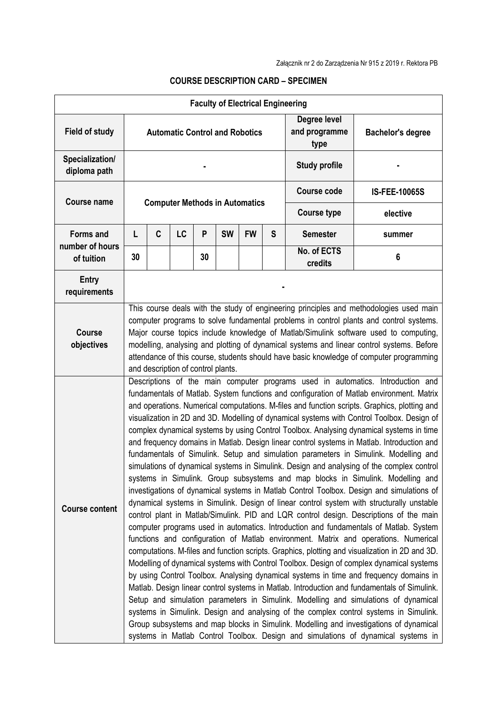|                                     |                                                                                                                                                                                                                                                                                                                                                                                                                                                                                                                                                                                                                                                                                                                                                                                                                                                                                                                                                                                                                                                                                                                                                                                                                                                                                                                                                                                                                                                                                                                                                                                                                                                                                                                                                                                                                                                                                                                                                                                                                                                                     |   |                                       |    | <b>Faculty of Electrical Engineering</b> |           |                                       |                          |          |
|-------------------------------------|---------------------------------------------------------------------------------------------------------------------------------------------------------------------------------------------------------------------------------------------------------------------------------------------------------------------------------------------------------------------------------------------------------------------------------------------------------------------------------------------------------------------------------------------------------------------------------------------------------------------------------------------------------------------------------------------------------------------------------------------------------------------------------------------------------------------------------------------------------------------------------------------------------------------------------------------------------------------------------------------------------------------------------------------------------------------------------------------------------------------------------------------------------------------------------------------------------------------------------------------------------------------------------------------------------------------------------------------------------------------------------------------------------------------------------------------------------------------------------------------------------------------------------------------------------------------------------------------------------------------------------------------------------------------------------------------------------------------------------------------------------------------------------------------------------------------------------------------------------------------------------------------------------------------------------------------------------------------------------------------------------------------------------------------------------------------|---|---------------------------------------|----|------------------------------------------|-----------|---------------------------------------|--------------------------|----------|
| <b>Field of study</b>               | <b>Automatic Control and Robotics</b>                                                                                                                                                                                                                                                                                                                                                                                                                                                                                                                                                                                                                                                                                                                                                                                                                                                                                                                                                                                                                                                                                                                                                                                                                                                                                                                                                                                                                                                                                                                                                                                                                                                                                                                                                                                                                                                                                                                                                                                                                               |   |                                       |    |                                          |           | Degree level<br>and programme<br>type | <b>Bachelor's degree</b> |          |
| Specialization/<br>diploma path     |                                                                                                                                                                                                                                                                                                                                                                                                                                                                                                                                                                                                                                                                                                                                                                                                                                                                                                                                                                                                                                                                                                                                                                                                                                                                                                                                                                                                                                                                                                                                                                                                                                                                                                                                                                                                                                                                                                                                                                                                                                                                     |   |                                       |    |                                          |           |                                       | <b>Study profile</b>     |          |
| Course name                         |                                                                                                                                                                                                                                                                                                                                                                                                                                                                                                                                                                                                                                                                                                                                                                                                                                                                                                                                                                                                                                                                                                                                                                                                                                                                                                                                                                                                                                                                                                                                                                                                                                                                                                                                                                                                                                                                                                                                                                                                                                                                     |   | <b>Computer Methods in Automatics</b> |    |                                          |           | <b>Course code</b>                    | <b>IS-FEE-10065S</b>     |          |
|                                     |                                                                                                                                                                                                                                                                                                                                                                                                                                                                                                                                                                                                                                                                                                                                                                                                                                                                                                                                                                                                                                                                                                                                                                                                                                                                                                                                                                                                                                                                                                                                                                                                                                                                                                                                                                                                                                                                                                                                                                                                                                                                     |   |                                       |    |                                          |           |                                       | <b>Course type</b>       | elective |
| <b>Forms and</b><br>number of hours | L                                                                                                                                                                                                                                                                                                                                                                                                                                                                                                                                                                                                                                                                                                                                                                                                                                                                                                                                                                                                                                                                                                                                                                                                                                                                                                                                                                                                                                                                                                                                                                                                                                                                                                                                                                                                                                                                                                                                                                                                                                                                   | C | LC                                    | P  | <b>SW</b>                                | <b>FW</b> | S                                     | <b>Semester</b>          | summer   |
| of tuition                          | 30                                                                                                                                                                                                                                                                                                                                                                                                                                                                                                                                                                                                                                                                                                                                                                                                                                                                                                                                                                                                                                                                                                                                                                                                                                                                                                                                                                                                                                                                                                                                                                                                                                                                                                                                                                                                                                                                                                                                                                                                                                                                  |   |                                       | 30 |                                          |           |                                       | No. of ECTS<br>credits   | 6        |
| <b>Entry</b><br>requirements        |                                                                                                                                                                                                                                                                                                                                                                                                                                                                                                                                                                                                                                                                                                                                                                                                                                                                                                                                                                                                                                                                                                                                                                                                                                                                                                                                                                                                                                                                                                                                                                                                                                                                                                                                                                                                                                                                                                                                                                                                                                                                     |   |                                       |    |                                          |           |                                       |                          |          |
| <b>Course</b><br>objectives         | This course deals with the study of engineering principles and methodologies used main<br>computer programs to solve fundamental problems in control plants and control systems.<br>Major course topics include knowledge of Matlab/Simulink software used to computing,<br>modelling, analysing and plotting of dynamical systems and linear control systems. Before<br>attendance of this course, students should have basic knowledge of computer programming<br>and description of control plants.                                                                                                                                                                                                                                                                                                                                                                                                                                                                                                                                                                                                                                                                                                                                                                                                                                                                                                                                                                                                                                                                                                                                                                                                                                                                                                                                                                                                                                                                                                                                                              |   |                                       |    |                                          |           |                                       |                          |          |
| <b>Course content</b>               | Descriptions of the main computer programs used in automatics. Introduction and<br>fundamentals of Matlab. System functions and configuration of Matlab environment. Matrix<br>and operations. Numerical computations. M-files and function scripts. Graphics, plotting and<br>visualization in 2D and 3D. Modelling of dynamical systems with Control Toolbox. Design of<br>complex dynamical systems by using Control Toolbox. Analysing dynamical systems in time<br>and frequency domains in Matlab. Design linear control systems in Matlab. Introduction and<br>fundamentals of Simulink. Setup and simulation parameters in Simulink. Modelling and<br>simulations of dynamical systems in Simulink. Design and analysing of the complex control<br>systems in Simulink. Group subsystems and map blocks in Simulink. Modelling and<br>investigations of dynamical systems in Matlab Control Toolbox. Design and simulations of<br>dynamical systems in Simulink. Design of linear control system with structurally unstable<br>control plant in Matlab/Simulink. PID and LQR control design. Descriptions of the main<br>computer programs used in automatics. Introduction and fundamentals of Matlab. System<br>functions and configuration of Matlab environment. Matrix and operations. Numerical<br>computations. M-files and function scripts. Graphics, plotting and visualization in 2D and 3D.<br>Modelling of dynamical systems with Control Toolbox. Design of complex dynamical systems<br>by using Control Toolbox. Analysing dynamical systems in time and frequency domains in<br>Matlab. Design linear control systems in Matlab. Introduction and fundamentals of Simulink.<br>Setup and simulation parameters in Simulink. Modelling and simulations of dynamical<br>systems in Simulink. Design and analysing of the complex control systems in Simulink.<br>Group subsystems and map blocks in Simulink. Modelling and investigations of dynamical<br>systems in Matlab Control Toolbox. Design and simulations of dynamical systems in |   |                                       |    |                                          |           |                                       |                          |          |

## **COURSE DESCRIPTION CARD – SPECIMEN**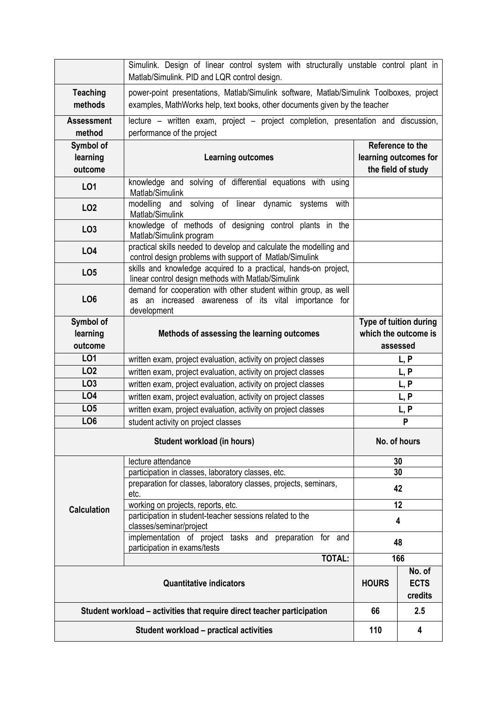|                                                                         | Simulink. Design of linear control system with structurally unstable control plant in<br>Matlab/Simulink. PID and LQR control design.                                 |                                  |                               |  |  |  |  |  |
|-------------------------------------------------------------------------|-----------------------------------------------------------------------------------------------------------------------------------------------------------------------|----------------------------------|-------------------------------|--|--|--|--|--|
| <b>Teaching</b><br>methods                                              | power-point presentations, Matlab/Simulink software, Matlab/Simulink Toolboxes, project<br>examples, MathWorks help, text books, other documents given by the teacher |                                  |                               |  |  |  |  |  |
| <b>Assessment</b><br>method                                             | lecture - written exam, project - project completion, presentation and discussion,<br>performance of the project                                                      |                                  |                               |  |  |  |  |  |
| Symbol of                                                               |                                                                                                                                                                       |                                  | Reference to the              |  |  |  |  |  |
| learning                                                                | <b>Learning outcomes</b>                                                                                                                                              | learning outcomes for            |                               |  |  |  |  |  |
| outcome                                                                 |                                                                                                                                                                       | the field of study               |                               |  |  |  |  |  |
|                                                                         |                                                                                                                                                                       |                                  |                               |  |  |  |  |  |
| LO1                                                                     | knowledge and solving of differential equations with using<br>Matlab/Simulink                                                                                         |                                  |                               |  |  |  |  |  |
| LO <sub>2</sub>                                                         | solving of linear dynamic systems<br>modelling and<br>with<br>Matlab/Simulink                                                                                         |                                  |                               |  |  |  |  |  |
| LO <sub>3</sub>                                                         | knowledge of methods of designing control plants in the<br>Matlab/Simulink program                                                                                    |                                  |                               |  |  |  |  |  |
| <b>LO4</b>                                                              | practical skills needed to develop and calculate the modelling and<br>control design problems with support of Matlab/Simulink                                         |                                  |                               |  |  |  |  |  |
| LO <sub>5</sub>                                                         | skills and knowledge acquired to a practical, hands-on project,<br>linear control design methods with Matlab/Simulink                                                 |                                  |                               |  |  |  |  |  |
| LO <sub>6</sub>                                                         | demand for cooperation with other student within group, as well<br>as an increased awareness of its vital importance for<br>development                               |                                  |                               |  |  |  |  |  |
| Symbol of                                                               |                                                                                                                                                                       |                                  | <b>Type of tuition during</b> |  |  |  |  |  |
| learning                                                                | Methods of assessing the learning outcomes                                                                                                                            | which the outcome is             |                               |  |  |  |  |  |
| outcome                                                                 |                                                                                                                                                                       |                                  | assessed                      |  |  |  |  |  |
| L01                                                                     | written exam, project evaluation, activity on project classes                                                                                                         | L, P                             |                               |  |  |  |  |  |
| <b>LO2</b>                                                              | written exam, project evaluation, activity on project classes                                                                                                         | L, P                             |                               |  |  |  |  |  |
| LO <sub>3</sub>                                                         | written exam, project evaluation, activity on project classes                                                                                                         | L, P                             |                               |  |  |  |  |  |
| <b>LO4</b>                                                              | written exam, project evaluation, activity on project classes                                                                                                         | L, P                             |                               |  |  |  |  |  |
| LO <sub>5</sub>                                                         | written exam, project evaluation, activity on project classes                                                                                                         | L, P                             |                               |  |  |  |  |  |
| LO <sub>6</sub>                                                         | student activity on project classes                                                                                                                                   | P                                |                               |  |  |  |  |  |
|                                                                         |                                                                                                                                                                       |                                  |                               |  |  |  |  |  |
|                                                                         | No. of hours                                                                                                                                                          |                                  |                               |  |  |  |  |  |
|                                                                         | lecture attendance                                                                                                                                                    |                                  | 30                            |  |  |  |  |  |
|                                                                         | participation in classes, laboratory classes, etc.                                                                                                                    | 30                               |                               |  |  |  |  |  |
|                                                                         | preparation for classes, laboratory classes, projects, seminars,<br>etc.                                                                                              | 42                               |                               |  |  |  |  |  |
| <b>Calculation</b>                                                      | working on projects, reports, etc.                                                                                                                                    | 12                               |                               |  |  |  |  |  |
|                                                                         | participation in student-teacher sessions related to the<br>classes/seminar/project                                                                                   | 4                                |                               |  |  |  |  |  |
|                                                                         | implementation of project tasks and preparation for and<br>participation in exams/tests                                                                               | 48                               |                               |  |  |  |  |  |
|                                                                         | <b>TOTAL:</b>                                                                                                                                                         | 166                              |                               |  |  |  |  |  |
|                                                                         | <b>HOURS</b>                                                                                                                                                          | No. of<br><b>ECTS</b><br>credits |                               |  |  |  |  |  |
| Student workload – activities that require direct teacher participation | 66                                                                                                                                                                    | 2.5                              |                               |  |  |  |  |  |
|                                                                         | 110                                                                                                                                                                   | 4                                |                               |  |  |  |  |  |